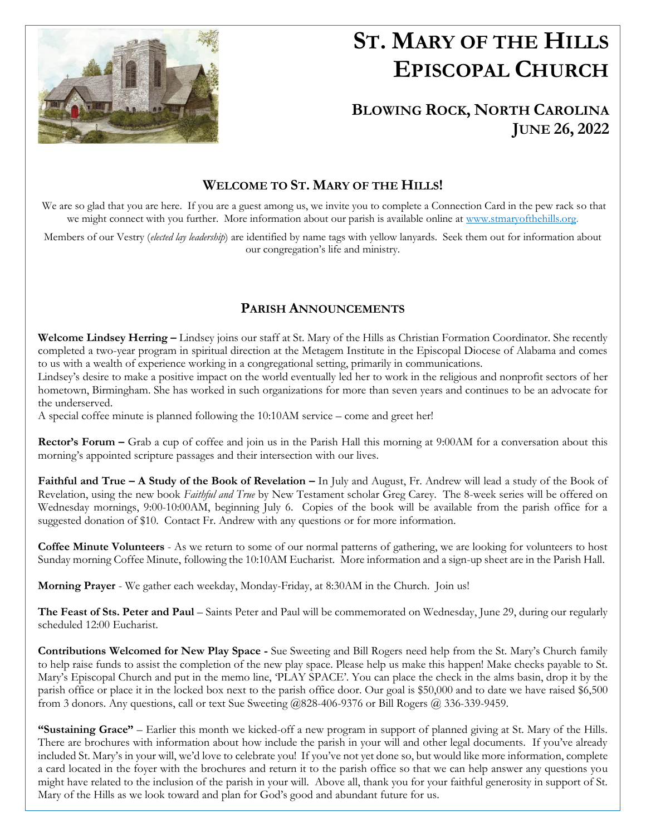

# **ST. MARY OF THE HILLS EPISCOPAL CHURCH**

## **BLOWING ROCK, NORTH CAROLINA JUNE 26, 2022**

### **WELCOME TO ST. MARY OF THE HILLS!**

We are so glad that you are here. If you are a guest among us, we invite you to complete a Connection Card in the pew rack so that we might connect with you further. More information about our parish is available online at [www.stmaryofthehills.org.](http://www.stmaryofthehills.org/)

Members of our Vestry (*elected lay leadership*) are identified by name tags with yellow lanyards. Seek them out for information about our congregation's life and ministry.

### **PARISH ANNOUNCEMENTS**

**Welcome Lindsey Herring –** Lindsey joins our staff at St. Mary of the Hills as Christian Formation Coordinator. She recently completed a two-year program in spiritual direction at the Metagem Institute in the Episcopal Diocese of Alabama and comes to us with a wealth of experience working in a congregational setting, primarily in communications.

Lindsey's desire to make a positive impact on the world eventually led her to work in the religious and nonprofit sectors of her hometown, Birmingham. She has worked in such organizations for more than seven years and continues to be an advocate for the underserved.

A special coffee minute is planned following the 10:10AM service – come and greet her!

**Rector's Forum –** Grab a cup of coffee and join us in the Parish Hall this morning at 9:00AM for a conversation about this morning's appointed scripture passages and their intersection with our lives.

**Faithful and True – A Study of the Book of Revelation –** In July and August, Fr. Andrew will lead a study of the Book of Revelation, using the new book *Faithful and True* by New Testament scholar Greg Carey. The 8-week series will be offered on Wednesday mornings, 9:00-10:00AM, beginning July 6. Copies of the book will be available from the parish office for a suggested donation of \$10. Contact Fr. Andrew with any questions or for more information.

**Coffee Minute Volunteers** - As we return to some of our normal patterns of gathering, we are looking for volunteers to host Sunday morning Coffee Minute, following the 10:10AM Eucharist. More information and a sign-up sheet are in the Parish Hall.

**Morning Prayer** - We gather each weekday, Monday-Friday, at 8:30AM in the Church. Join us!

**The Feast of Sts. Peter and Paul** – Saints Peter and Paul will be commemorated on Wednesday, June 29, during our regularly scheduled 12:00 Eucharist.

**Contributions Welcomed for New Play Space -** Sue Sweeting and Bill Rogers need help from the St. Mary's Church family to help raise funds to assist the completion of the new play space. Please help us make this happen! Make checks payable to St. Mary's Episcopal Church and put in the memo line, 'PLAY SPACE'. You can place the check in the alms basin, drop it by the parish office or place it in the locked box next to the parish office door. Our goal is \$50,000 and to date we have raised \$6,500 from 3 donors. Any questions, call or text Sue Sweeting @828-406-9376 or Bill Rogers @ 336-339-9459.

**"Sustaining Grace"** – Earlier this month we kicked-off a new program in support of planned giving at St. Mary of the Hills. There are brochures with information about how include the parish in your will and other legal documents. If you've already included St. Mary's in your will, we'd love to celebrate you! If you've not yet done so, but would like more information, complete a card located in the foyer with the brochures and return it to the parish office so that we can help answer any questions you might have related to the inclusion of the parish in your will. Above all, thank you for your faithful generosity in support of St. Mary of the Hills as we look toward and plan for God's good and abundant future for us.